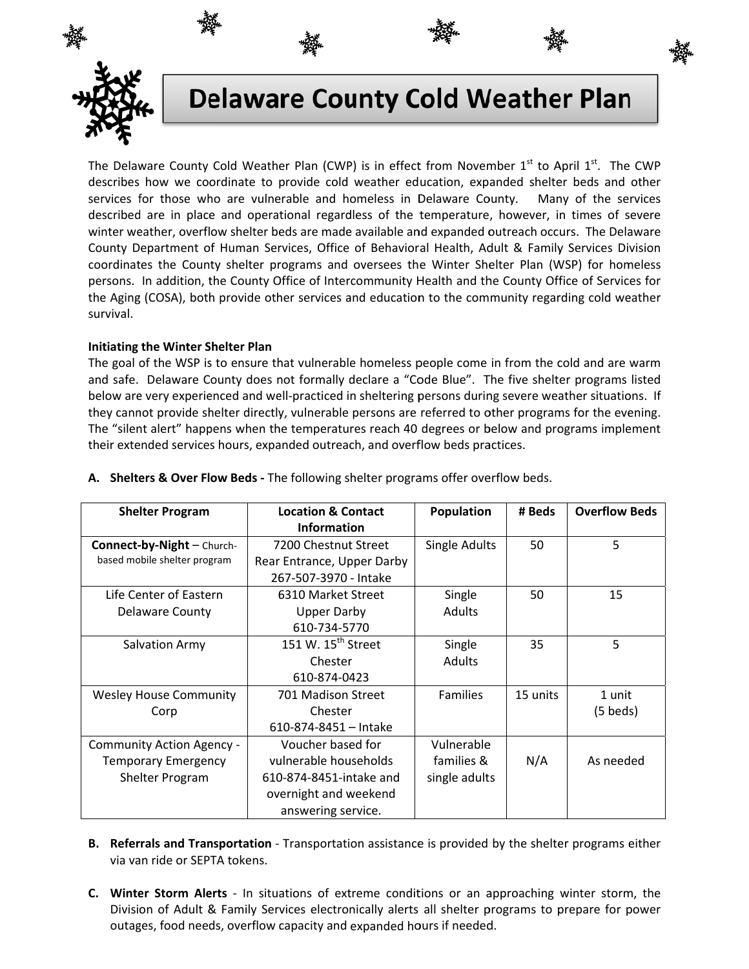

# **Delaware County Cold Weather Plan**

The Delaware County Cold Weather Plan (CWP) is in effect from November  $1<sup>st</sup>$  to April  $1<sup>st</sup>$ . The CWP describes how we coordinate to provide cold weather education, expanded shelter beds and other services for those who are vulnerable and homeless in Delaware County. Many of the services described are in place and operational regardless of the temperature, however, in times of severe winter weather, overflow shelter beds are made available and expanded outreach occurs. The Delaware County Department of Human Services, Office of Behavioral Health, Adult & Family Services Division coordinates the County shelter programs and oversees the Winter Shelter Plan (WSP) for homeless persons. In addition, the County Office of Intercommunity Health and the County Office of Services for the Aging (COSA), both provide other services and education to the community regarding cold weather survival.

## **Initiating the Winter Shelter Plan**

The goal of the WSP is to ensure that vulnerable homeless people come in from the cold and are warm and safe. Delaware County does not formally declare a "Code Blue". The five shelter programs listed below are very experienced and well-practiced in sheltering persons during severe weather situations. If they cannot provide shelter directly, vulnerable persons are referred to other programs for the evening. The "silent alert" happens when the temperatures reach 40 degrees or below and programs implement their extended services hours, expanded outreach, and overflow beds practices.

| <b>Shelter Program</b>        | <b>Location &amp; Contact</b>  | Population      | # Beds   | <b>Overflow Beds</b> |
|-------------------------------|--------------------------------|-----------------|----------|----------------------|
|                               | <b>Information</b>             |                 |          |                      |
| Connect-by-Night - Church-    | 7200 Chestnut Street           | Single Adults   | 50       | 5                    |
| based mobile shelter program  | Rear Entrance, Upper Darby     |                 |          |                      |
|                               | 267-507-3970 - Intake          |                 |          |                      |
| Life Center of Eastern        | 6310 Market Street             | Single          | 50       | 15                   |
| <b>Delaware County</b>        | <b>Upper Darby</b>             | <b>Adults</b>   |          |                      |
|                               | 610-734-5770                   |                 |          |                      |
| Salvation Army                | 151 W. 15 <sup>th</sup> Street | Single          | 35       | 5                    |
|                               | Chester                        | Adults          |          |                      |
|                               | 610-874-0423                   |                 |          |                      |
| <b>Wesley House Community</b> | 701 Madison Street             | <b>Families</b> | 15 units | 1 unit               |
| Corp                          | Chester                        |                 |          | $(5 \text{ beds})$   |
|                               | 610-874-8451 - Intake          |                 |          |                      |
| Community Action Agency -     | Voucher based for              | Vulnerable      |          |                      |
| <b>Temporary Emergency</b>    | vulnerable households          | families &      | N/A      | As needed            |
| Shelter Program               | 610-874-8451-intake and        | single adults   |          |                      |
|                               | overnight and weekend          |                 |          |                      |
|                               | answering service.             |                 |          |                      |

A. Shelters & Over Flow Beds - The following shelter programs offer overflow beds.

- **B.** Referrals and Transportation Transportation assistance is provided by the shelter programs either via van ride or SEPTA tokens.
- C. Winter Storm Alerts In situations of extreme conditions or an approaching winter storm, the Division of Adult & Family Services electronically alerts all shelter programs to prepare for power outages, food needs, overflow capacity and expanded hours if needed.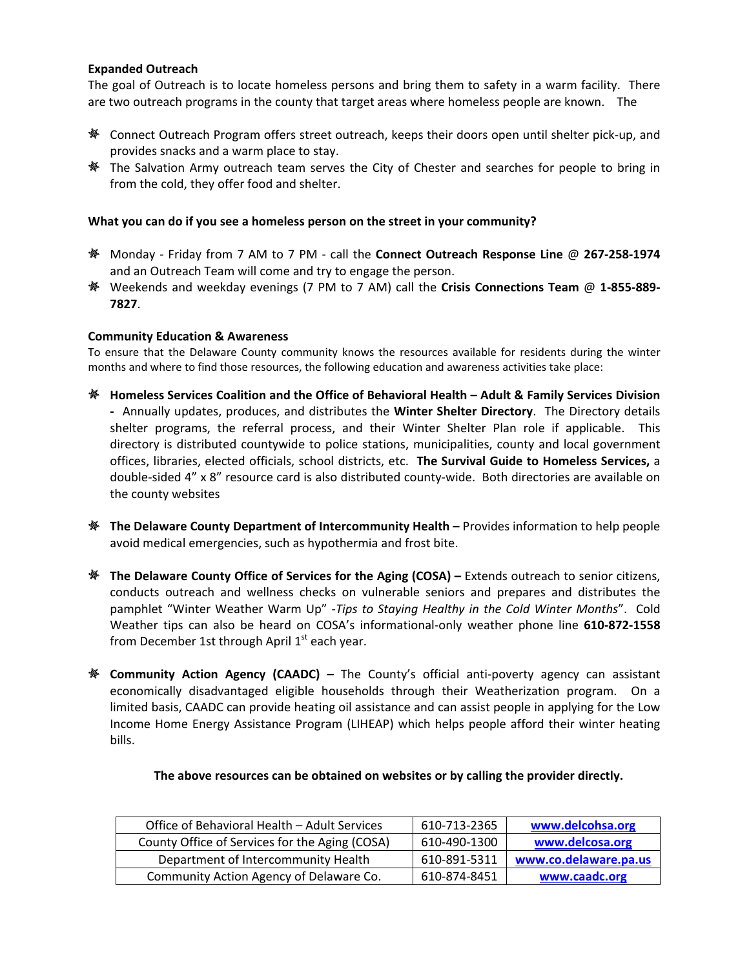## **Expanded Outreach**

The goal of Outreach is to locate homeless persons and bring them to safety in a warm facility. There are two outreach programs in the county that target areas where homeless people are known. The

- **※** Connect Outreach Program offers street outreach, keeps their doors open until shelter pick-up, and provides snacks and a warm place to stay.
- $*$  The Salvation Army outreach team serves the City of Chester and searches for people to bring in from the cold, they offer food and shelter.

### **What you can do if you see a homeless person on the street in your community?**

- Monday ‐ Friday from 7 AM to 7 PM ‐ call the **Connect Outreach Response Line** @ **267‐258‐1974** and an Outreach Team will come and try to engage the person.
- Weekends and weekday evenings (7 PM to 7 AM) call the **Crisis Connections Team** @ **1‐855‐889‐ 7827**.

### **Community Education & Awareness**

To ensure that the Delaware County community knows the resources available for residents during the winter months and where to find those resources, the following education and awareness activities take place:

- **Homeless Services Coalition and the Office of Behavioral Health – Adult & Family Services Division ‐** Annually updates, produces, and distributes the **Winter Shelter Directory**. The Directory details shelter programs, the referral process, and their Winter Shelter Plan role if applicable. This directory is distributed countywide to police stations, municipalities, county and local government offices, libraries, elected officials, school districts, etc. **The Survival Guide to Homeless Services,** a double-sided 4" x 8" resource card is also distributed county-wide. Both directories are available on the county websites
- **The Delaware County Department of Intercommunity Health –** Provides information to help people avoid medical emergencies, such as hypothermia and frost bite.
- **The Delaware County Office of Services for the Aging (COSA) –** Extends outreach to senior citizens, conducts outreach and wellness checks on vulnerable seniors and prepares and distributes the pamphlet "Winter Weather Warm Up" ‐*Tips to Staying Healthy in the Cold Winter Months*". Cold Weather tips can also be heard on COSA's informational‐only weather phone line **610‐872‐1558** from December 1st through April  $1<sup>st</sup>$  each year.
- **Community Action Agency (CAADC) –** The County's official anti‐poverty agency can assistant economically disadvantaged eligible households through their Weatherization program. On a limited basis, CAADC can provide heating oil assistance and can assist people in applying for the Low Income Home Energy Assistance Program (LIHEAP) which helps people afford their winter heating bills.

| Office of Behavioral Health – Adult Services   | 610-713-2365 | www.delcohsa.org      |
|------------------------------------------------|--------------|-----------------------|
| County Office of Services for the Aging (COSA) | 610-490-1300 | www.delcosa.org       |
| Department of Intercommunity Health            | 610-891-5311 | www.co.delaware.pa.us |
| Community Action Agency of Delaware Co.        | 610-874-8451 | www.caadc.org         |

**The above resources can be obtained on websites or by calling the provider directly.**